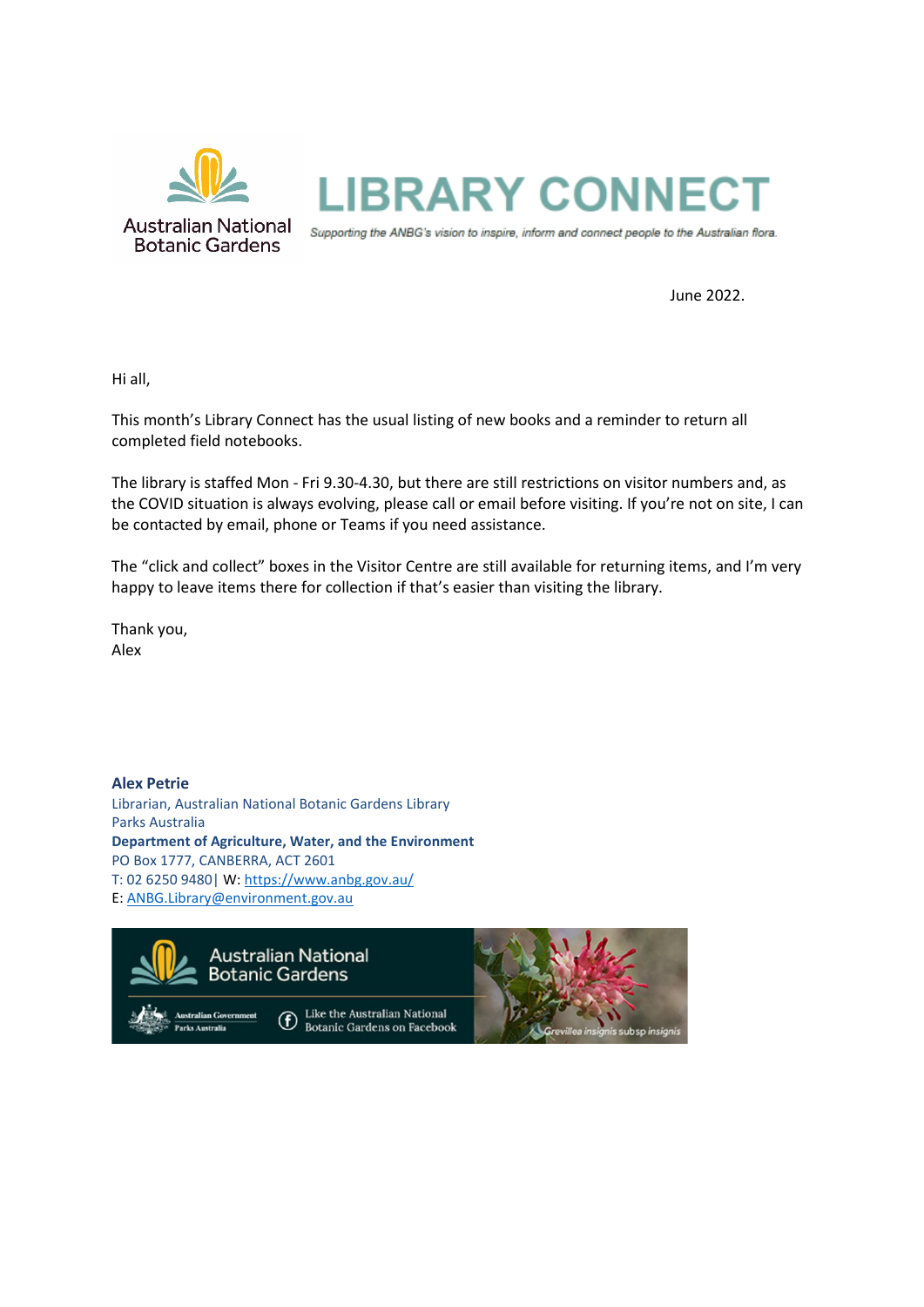

June 2022.

Hi all,

This month's Library Connect has the usual listing of new books and a reminder to return all completed field notebooks.

The library is staffed Mon - Fri 9.30-4.30, but there are still restrictions on visitor numbers and, as the COVID situation is always evolving, please call or email before visiting. If you're not on site, I can be contacted by email, phone or Teams if you need assistance.

The "click and collect" boxes in the Visitor Centre are still available for returning items, and I'm very happy to leave items there for collection if that's easier than visiting the library.

Thank you, Alex

**Alex Petrie** Librarian, Australian National Botanic Gardens Library Parks Australia **Department of Agriculture, Water, and the Environment** PO Box 1777, CANBERRA, ACT 2601 T: 02 6250 9480| W[: https://www.anbg.gov.au/](https://www.anbg.gov.au/) E: [ANBG.Library@environment.gov.au](mailto:ANBG.Library@environment.gov.au)

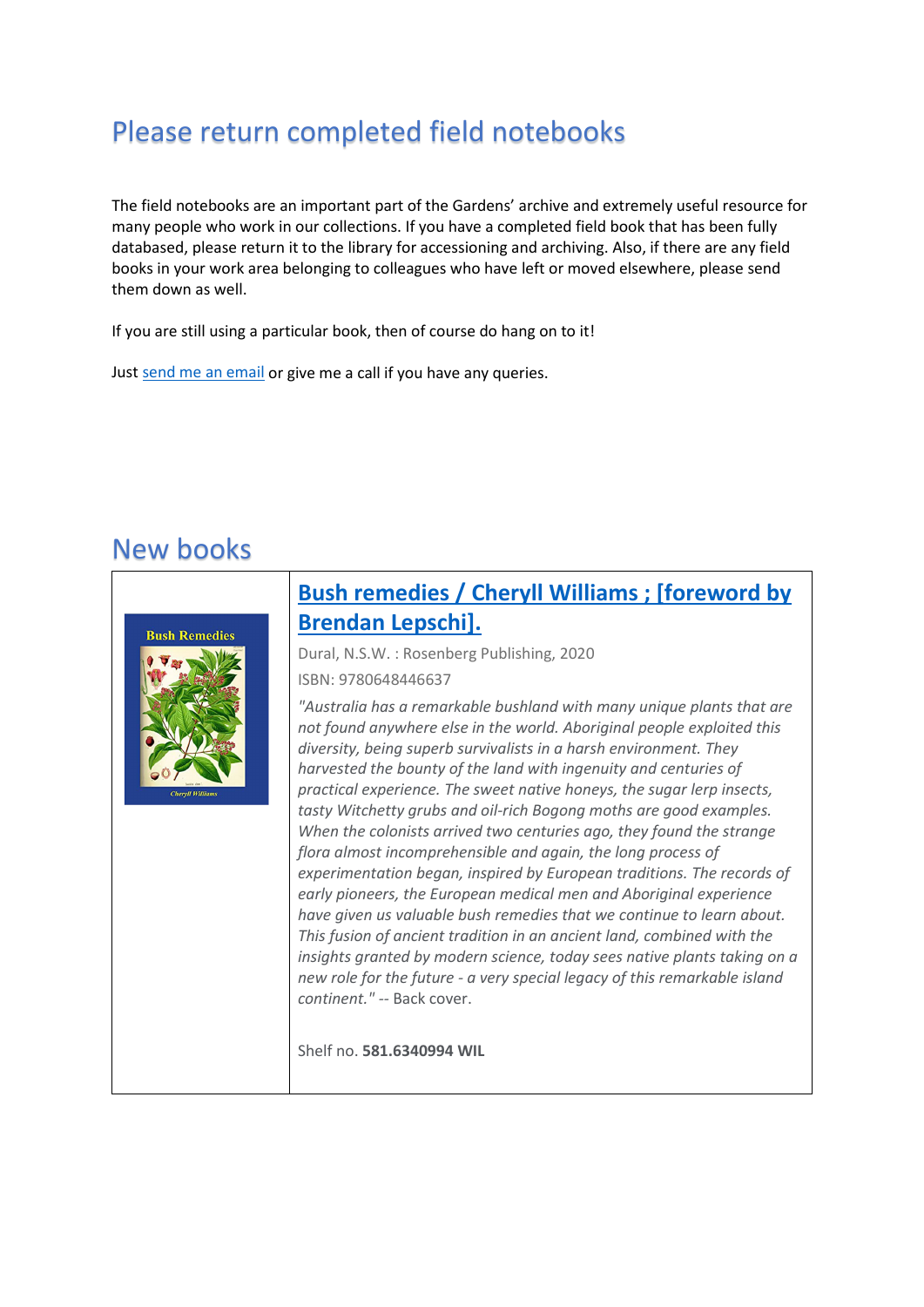## Please return completed field notebooks

The field notebooks are an important part of the Gardens' archive and extremely useful resource for many people who work in our collections. If you have a completed field book that has been fully databased, please return it to the library for accessioning and archiving. Also, if there are any field books in your work area belonging to colleagues who have left or moved elsewhere, please send them down as well.

If you are still using a particular book, then of course do hang on to it!

Just [send me an email](mailto:anbg.library@environment.gov.au?subject=Field%20notebooks) or give me a call if you have any queries.

#### New books



#### **[Bush remedies / Cheryll Williams ; \[foreword by](https://library.awe.gov.au/cgi-bin/koha/opac-detail.pl?biblionumber=33638)  [Brendan Lepschi\].](https://library.awe.gov.au/cgi-bin/koha/opac-detail.pl?biblionumber=33638)**

Dural, N.S.W. : Rosenberg Publishing, 2020

ISBN: 9780648446637

*"Australia has a remarkable bushland with many unique plants that are not found anywhere else in the world. Aboriginal people exploited this diversity, being superb survivalists in a harsh environment. They harvested the bounty of the land with ingenuity and centuries of practical experience. The sweet native honeys, the sugar lerp insects, tasty Witchetty grubs and oil-rich Bogong moths are good examples. When the colonists arrived two centuries ago, they found the strange flora almost incomprehensible and again, the long process of experimentation began, inspired by European traditions. The records of early pioneers, the European medical men and Aboriginal experience have given us valuable bush remedies that we continue to learn about. This fusion of ancient tradition in an ancient land, combined with the insights granted by modern science, today sees native plants taking on a new role for the future - a very special legacy of this remarkable island continent." --* Back cover.

Shelf no. **581.6340994 WIL**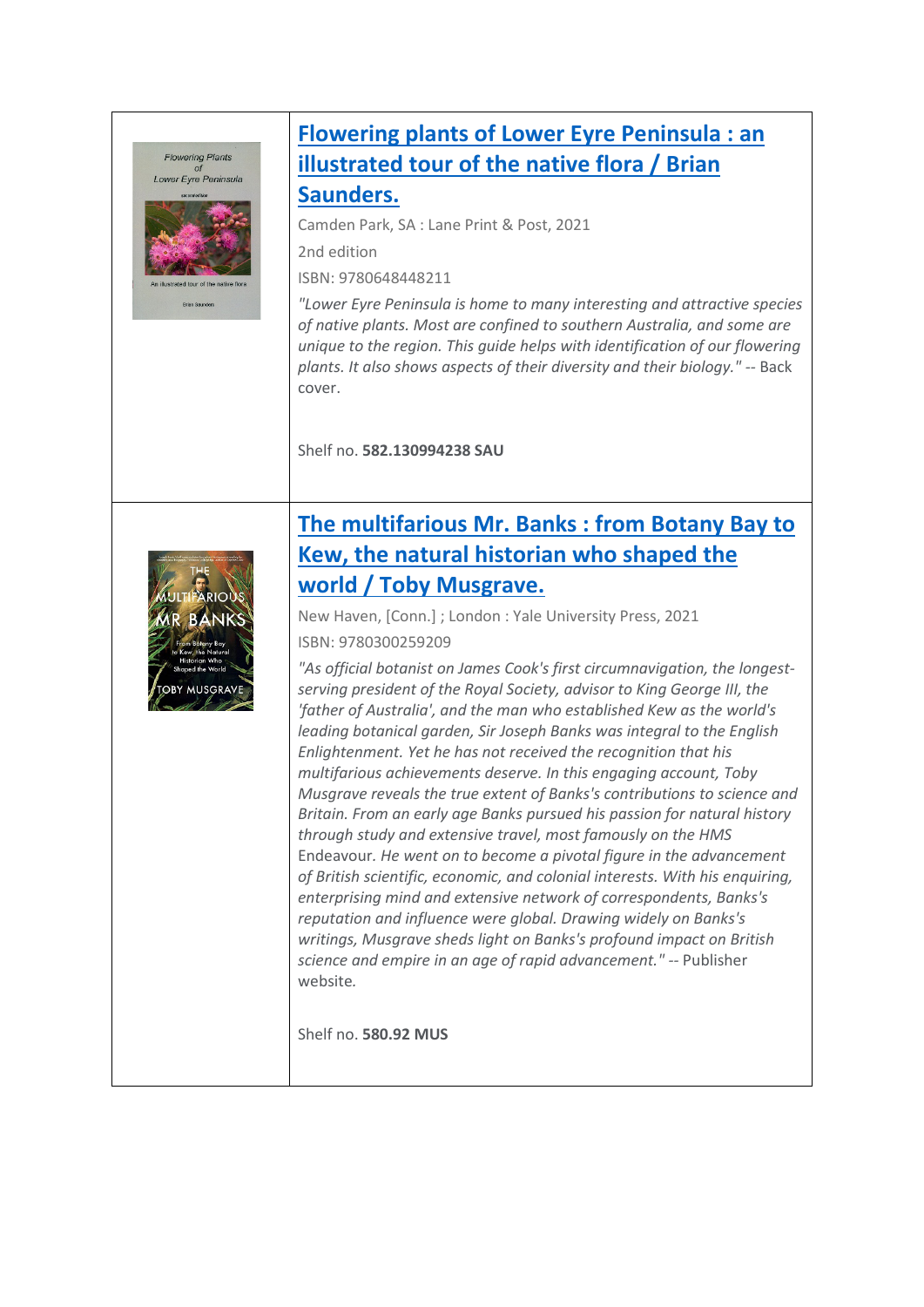#### **Flowering Plants** Lower Eyre Peninsula



# **[Flowering plants of Lower Eyre Peninsula : an](https://library.awe.gov.au/cgi-bin/koha/opac-detail.pl?biblionumber=33639)  [illustrated tour of the native flora / Brian](https://library.awe.gov.au/cgi-bin/koha/opac-detail.pl?biblionumber=33639)**

**[Saunders.](https://library.awe.gov.au/cgi-bin/koha/opac-detail.pl?biblionumber=33639)**

Camden Park, SA : Lane Print & Post, 2021

2nd edition

ISBN: 9780648448211

*"Lower Eyre Peninsula is home to many interesting and attractive species of native plants. Most are confined to southern Australia, and some are unique to the region. This guide helps with identification of our flowering plants. It also shows aspects of their diversity and their biology." --* Back cover.

Shelf no. **582.130994238 SAU**



### **[The multifarious Mr. Banks : from Botany Bay to](https://library.awe.gov.au/cgi-bin/koha/opac-detail.pl?biblionumber=33627)  [Kew, the natural historian who shaped the](https://library.awe.gov.au/cgi-bin/koha/opac-detail.pl?biblionumber=33627)  [world / Toby Musgrave.](https://library.awe.gov.au/cgi-bin/koha/opac-detail.pl?biblionumber=33627)**

New Haven, [Conn.] ; London : Yale University Press, 2021 ISBN: 9780300259209

*"As official botanist on James Cook's first circumnavigation, the longestserving president of the Royal Society, advisor to King George III, the 'father of Australia', and the man who established Kew as the world's leading botanical garden, Sir Joseph Banks was integral to the English Enlightenment. Yet he has not received the recognition that his multifarious achievements deserve. In this engaging account, Toby Musgrave reveals the true extent of Banks's contributions to science and Britain. From an early age Banks pursued his passion for natural history through study and extensive travel, most famously on the HMS*  Endeavour*. He went on to become a pivotal figure in the advancement of British scientific, economic, and colonial interests. With his enquiring, enterprising mind and extensive network of correspondents, Banks's reputation and influence were global. Drawing widely on Banks's writings, Musgrave sheds light on Banks's profound impact on British science and empire in an age of rapid advancement." --* Publisher website*.* 

Shelf no. **580.92 MUS**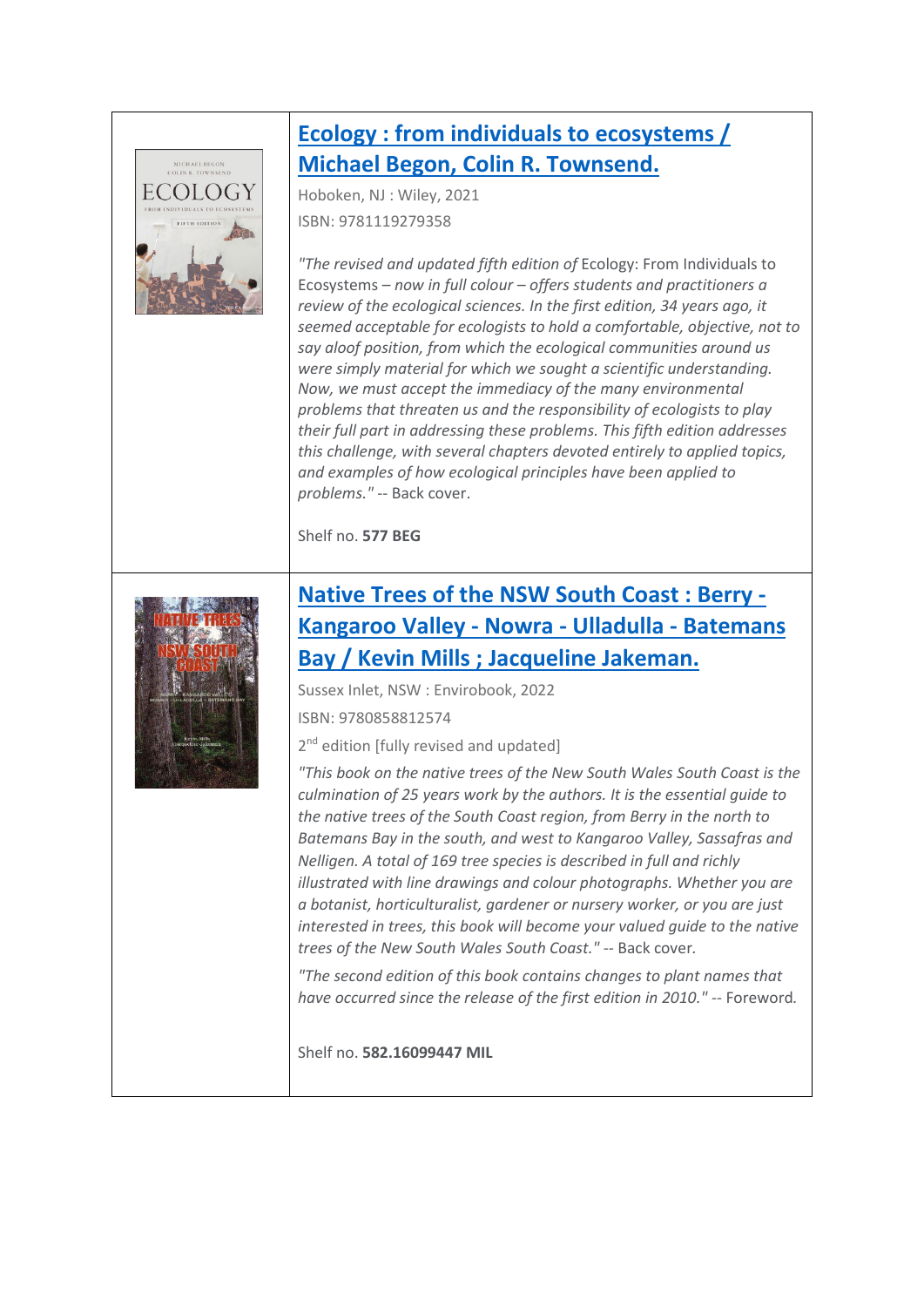

#### **[Ecology : from individuals to ecosystems /](https://library.awe.gov.au/cgi-bin/koha/opac-detail.pl?biblionumber=33621)  [Michael Begon, Colin R. Townsend.](https://library.awe.gov.au/cgi-bin/koha/opac-detail.pl?biblionumber=33621)**

Hoboken, NJ : Wiley, 2021 ISBN: 9781119279358

*"The revised and updated fifth edition of* Ecology: From Individuals to Ecosystems *– now in full colour – offers students and practitioners a review of the ecological sciences. In the first edition, 34 years ago, it seemed acceptable for ecologists to hold a comfortable, objective, not to say aloof position, from which the ecological communities around us were simply material for which we sought a scientific understanding. Now, we must accept the immediacy of the many environmental problems that threaten us and the responsibility of ecologists to play their full part in addressing these problems. This fifth edition addresses this challenge, with several chapters devoted entirely to applied topics, and examples of how ecological principles have been applied to problems."* -- Back cover.

Shelf no. **577 BEG**



#### **[Native Trees of the NSW South Coast : Berry -](https://library.awe.gov.au/cgi-bin/koha/opac-detail.pl?biblionumber=33625)  [Kangaroo Valley - Nowra - Ulladulla - Batemans](https://library.awe.gov.au/cgi-bin/koha/opac-detail.pl?biblionumber=33625)  [Bay / Kevin Mills ; Jacqueline Jakeman.](https://library.awe.gov.au/cgi-bin/koha/opac-detail.pl?biblionumber=33625)**

Sussex Inlet, NSW : Envirobook, 2022

ISBN: 9780858812574

2<sup>nd</sup> edition [fully revised and updated]

*"This book on the native trees of the New South Wales South Coast is the culmination of 25 years work by the authors. It is the essential guide to the native trees of the South Coast region, from Berry in the north to Batemans Bay in the south, and west to Kangaroo Valley, Sassafras and Nelligen. A total of 169 tree species is described in full and richly illustrated with line drawings and colour photographs. Whether you are a botanist, horticulturalist, gardener or nursery worker, or you are just interested in trees, this book will become your valued guide to the native trees of the New South Wales South Coast." --* Back cover*.* 

*"The second edition of this book contains changes to plant names that have occurred since the release of the first edition in 2010."* -- Foreword*.* 

Shelf no. **582.16099447 MIL**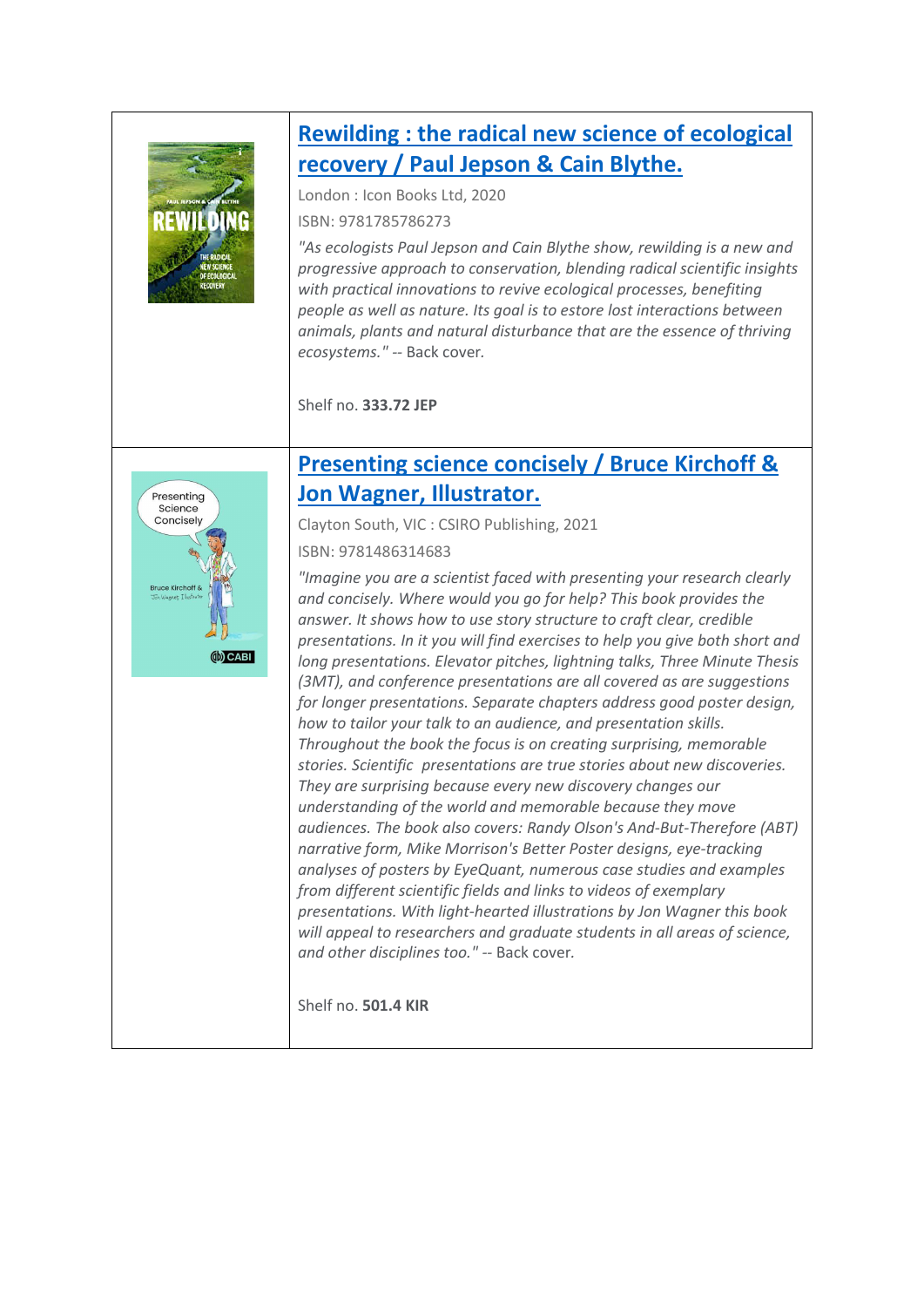

#### **[Rewilding : the radical new science of ecological](https://library.awe.gov.au/cgi-bin/koha/opac-detail.pl?biblionumber=33626)  [recovery / Paul Jepson & Cain Blythe.](https://library.awe.gov.au/cgi-bin/koha/opac-detail.pl?biblionumber=33626)**

London : Icon Books Ltd, 2020

ISBN: 9781785786273

*"As ecologists Paul Jepson and Cain Blythe show, rewilding is a new and progressive approach to conservation, blending radical scientific insights with practical innovations to revive ecological processes, benefiting people as well as nature. Its goal is to estore lost interactions between animals, plants and natural disturbance that are the essence of thriving ecosystems." --* Back cover*.* 

Shelf no. **333.72 JEP**



#### **[Presenting science concisely /](https://library.awe.gov.au/cgi-bin/koha/opac-detail.pl?biblionumber=33628) Bruce Kirchoff & [Jon Wagner, Illustrator.](https://library.awe.gov.au/cgi-bin/koha/opac-detail.pl?biblionumber=33628)**

Clayton South, VIC : CSIRO Publishing, 2021

ISBN: 9781486314683

*"Imagine you are a scientist faced with presenting your research clearly and concisely. Where would you go for help? This book provides the answer. It shows how to use story structure to craft clear, credible presentations. In it you will find exercises to help you give both short and long presentations. Elevator pitches, lightning talks, Three Minute Thesis (3MT), and conference presentations are all covered as are suggestions for longer presentations. Separate chapters address good poster design, how to tailor your talk to an audience, and presentation skills. Throughout the book the focus is on creating surprising, memorable stories. Scientific presentations are true stories about new discoveries. They are surprising because every new discovery changes our understanding of the world and memorable because they move audiences. The book also covers: Randy Olson's And-But-Therefore (ABT) narrative form, Mike Morrison's Better Poster designs, eye-tracking analyses of posters by EyeQuant, numerous case studies and examples from different scientific fields and links to videos of exemplary presentations. With light-hearted illustrations by Jon Wagner this book will appeal to researchers and graduate students in all areas of science, and other disciplines too." --* Back cover*.* 

Shelf no. **501.4 KIR**